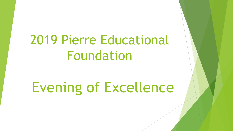## 2019 Pierre Educational Foundation

# Evening of Excellence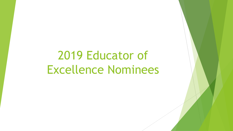## 2019 Educator of Excellence Nominees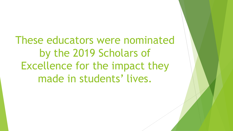These educators were nominated by the 2019 Scholars of Excellence for the impact they made in students' lives.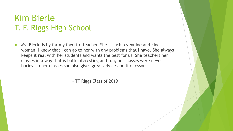#### Kim Bierle T. F. Riggs High School

 Ms. Bierle is by far my favorite teacher. She is such a genuine and kind woman. I know that I can go to her with any problems that I have. She always keeps it real with her students and wants the best for us. She teachers her classes in a way that is both interesting and fun, her classes were never boring. In her classes she also gives great advice and life lessons.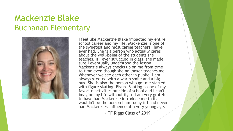#### Mackenzie Blake Buchanan Elementary



I feel like Mackenzie Blake impacted my entire school career and my life. Mackenzie is one of the sweetest and most caring teachers I have ever had. She is a person who actually cares about the well-being of the students she teaches. If I ever struggled in class, she made sure I eventually understood the lesson. Mackenzie always checks up on me from time to time even though she no longer teaches me. Whenever we see each other in public, I am always greeted with a warm smile and a big hug. She is also the person who got me started with figure skating. Figure Skating is one of my favorite activities outside of school and I can't imagine my life without it, so I am very grateful to have had Mackenzie introduce me to it. I wouldn't be the person I am today if I had never had Mackenzie's influence at a very young age.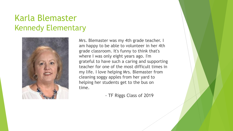#### Karla Blemaster Kennedy Elementary



Mrs. Blemaster was my 4th grade teacher. I am happy to be able to volunteer in her 4th grade classroom. It's funny to think that's where I was only eight years ago. I'm grateful to have such a caring and supporting teacher for one of the most difficult times in my life. I love helping Mrs. Blemaster from cleaning soggy apples from her yard to helping her students get to the bus on time.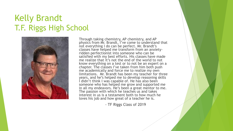#### Kelly Brandt T.F. Riggs High School



Through taking chemistry, AP chemistry, and AP physics from Mr. Brandt, I've come to understand that not everything I do can be perfect. Mr. Brandt's classes have helped me transform from an anxietyridden perfectionist into someone who can be satisfied with my best efforts. His classes have made me realize that it's not the end of the world to not know everything on a test or to not be an expert on a chapter. The classes I've taken from him both push me academically and force me to realize my own limitations. Mr. Brandt has been my teacher for three years, and he's helped me to develop reasoning skills I didn't think I was capable of. He has also been someone who has helped me grow and supported me in all my endeavors. He's been a great mentor to me. The passion with which he teaches us and takes interest in us is a testament both to how much he loves his job and how great of a teacher he is.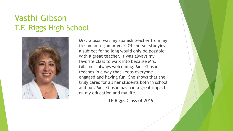#### Vasthi Gibson T.F. Riggs High School



Mrs. Gibson was my Spanish teacher from my freshman to junior year. Of course, studying a subject for so long would only be possible with a great teacher. It was always my favorite class to walk into because Mrs. Gibson is always welcoming. Mrs. Gibson teaches in a way that keeps everyone engaged and having fun. She shows that she truly cares for all her students both in school and out. Mrs. Gibson has had a great impact on my education and my life.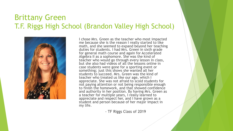#### Brittany Green T.F. Riggs High School (Brandon Valley High School)



I chose Mrs. Green as the teacher who most impacted me because she is the reason I really started to like math, and she seemed to expand beyond her teaching duties for students. I had Mrs. Green in sixth grade for general math course and again for Accelerated Algebra II as a sophomore. She was the kind of teacher who would go through every lesson in class, but she also had videos of all the lessons online in case students were gone for a sporting event or something; just this shows she wanted all her students to succeed. Mrs. Green was the kind of teacher who treated us like our age, which I appreciate. She was not afraid to scold students for not paying attention or not being responsible enough to finish the homework, and that showed confidence and authority in her position. By having Mrs. Green as a teacher for multiple years, I really learned to appreciate and respect her, and I have grown as a student and person because of her major impact in my life.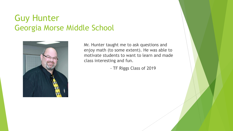#### Guy Hunter Georgia Morse Middle School



Mr. Hunter taught me to ask questions and enjoy math (to some extent). He was able to motivate students to want to learn and made class interesting and fun.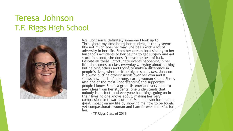#### Teresa Johnson T.F. Riggs High School



Mrs. Johnson is definitely someone I look up to. Throughout my time being her student, it really seems like not much goes her way. She deals with a lot of adversity in her life. From her dream boat sinking to her husband's accidents to her having to get surgery and get stuck in a boot, she doesn't have the best of luck. Despite all these unfortunate events happening in her life, she comes to class everyday worrying about nothing but helping others and trying to make a difference in people's lives, whether it be big or small. Mrs. Johnson is always putting others' needs over her own and it shows how much of a strong, caring woman she is. She is also one of the most understanding and supportive people I know. She is a great listener and very open to new ideas from her students. She understands that nobody is perfect, and everyone has things going on in their lives no one knows about, making her very compassionate towards others. Mrs. Johnson has made a great impact on my life by showing me how to be tough, yet compassionate woman and I am forever thankful for her.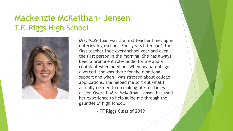#### Mackenzie McKeithan- Jensen T.F. Riggs High School



Mrs. McKeithan was the first teacher I met upon entering high school. Four years later she's the first teacher I see every school year and even the first person in the morning. She has always been a prominent role-model for me and a confidant when need be. When my parents got divorced, she was there for the emotional support and when I was stressed about college applications, she helped me sort out what I actually needed to do making life ten times easier. Overall, Mrs. McKeithan-Jensen has used her experience to help guide me through the gauntlet of high school.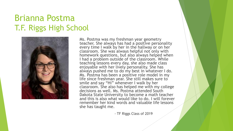#### Brianna Postma T.F. Riggs High School



Ms. Postma was my freshman year geometry teacher. She always has had a positive personality every time I walk by her in the hallway or on her classroom. She was always helpful not only with homework questions, but also always helped when I had a problem outside of the classroom. While teaching lessons every day, she also made class enjoyable with her lively personality. She has always pushed me to do my best in whatever I do. Ms. Postma has been a positive role model in my life since freshman year. She still makes sure to smile and say "Hi" whenever I walk by her classroom. She also has helped me with my college decisions as well. Ms. Postma attended South Dakota State University to become a math teacher and this is also what would like to do. I will forever remember her kind words and valuable life lessons she has taught me.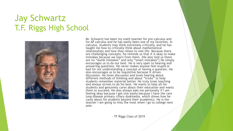#### Jay Schwartz T.F. Riggs High School



Mr. Schwartz has been my math teacher for pre-calculus and for AP calculus and he has easily been one of my favorites. In calculus, students may think extremely critically, and he has taught me how to critically think about mathematical relationships and how they relate to real life. Because there are challenging concepts, he reminds us that it is okay to make mistakes because we learn from them. (He also told us there are no "dumb mistakes" and only "smart mistakes") He simply encourages us to do our best. He is very open to hearing and answering questions. He never makes anyone feel stupid or bad for not understanding a concept or having a question. He also encourages us to be inquisitive because it drives discussion. He loves discussion and loves hearing about different methods of thinking and about "tricks" to help students remember material better. He truly loves teaching and always strives to do his best. He wants to help all his students and genuinely cares about their education and wants them to succeed. He also always asks me personally if I am feeling okay because I get sick easily because I have the rare lung disease primary ciliary dyskinesia, which shows how he cares about his students beyond their academics. He is the teacher I am going to miss the most when I go to college next year.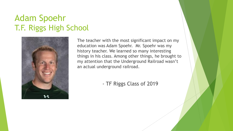#### Adam Spoehr T.F. Riggs High School



The teacher with the most significant impact on my education was Adam Spoehr. Mr. Spoehr was my history teacher. We learned so many interesting things in his class. Among other things, he brought to my attention that the Underground Railroad wasn't an actual underground railroad.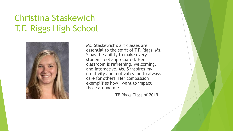### Christina Staskewich T.F. Riggs High School



Ms. Staskewich's art classes are essential to the spirit of T.F. Riggs. Ms. S has the ability to make every student feel appreciated. Her classroom is refreshing, welcoming, and interactive. Ms. S inspires my creativity and motivates me to always care for others. Her compassion exemplifies how I want to impact those around me.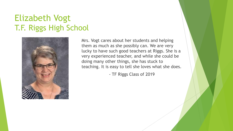#### Elizabeth Vogt T.F. Riggs High School



Mrs. Vogt cares about her students and helping them as much as she possibly can. We are very lucky to have such good teachers at Riggs. She is a very experienced teacher, and while she could be doing many other things, she has stuck to teaching. It is easy to tell she loves what she does.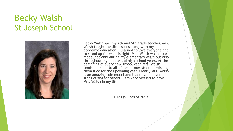#### Becky Walsh St Joseph School



Becky Walsh was my 4th and 5th grade teacher. Mrs. Walsh taught me life lessons along with my academic education. I learned to love everyone and to stand up for what is right. Mrs. Walsh was a role model not only during my elementary years but also throughout my middle and high school years. At the beginning of every new school year, Mrs. Walsh sends an email to all of her former students wishing them luck for the upcoming year. Clearly Mrs. Walsh is an amazing role model and leader who never stops caring for others. I am very blessed to have Mrs. Walsh in my life.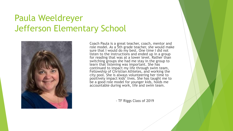#### Paula Weeldreyer Jefferson Elementary School



Coach Paula is a great teacher, coach, mentor and role model. As a 5th grade teacher, she would make sure that I would do my best. One time I did not listen to the instructions and ended up in a group for reading that was at a lower level. Rather than switching groups she had me stay in the group to learn that listening was important. She has continued to impact my life through swim team, Fellowship of Christian Athletes, and working the city pool. She is always volunteering her time to positively impact kids' lives. She has taught me to be a good role model for younger kids, holds me accountable during work, life and swim team.